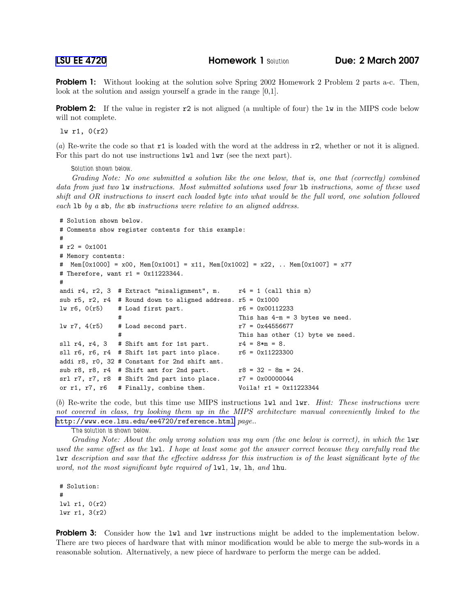**Problem 1:** Without looking at the solution solve Spring 2002 Homework 2 Problem 2 parts a-c. Then, look at the solution and assign yourself a grade in the range [0,1].

**Problem 2:** If the value in register  $r^2$  is not aligned (a multiple of four) the 1w in the MIPS code below will not complete.

lw r1, 0(r2)

(a) Re-write the code so that r1 is loaded with the word at the address in r2, whether or not it is aligned. For this part do not use instructions  $1wl$  and  $1wr$  (see the next part).

Solution shown below.

Grading Note: No one submitted a solution like the one below, that is, one that (correctly) combined data from just two lw instructions. Most submitted solutions used four lb instructions, some of these used shift and OR instructions to insert each loaded byte into what would be the full word, one solution followed each lb by a sb, the sb instructions were relative to an aligned address.

```
# Solution shown below.
# Comments show register contents for this example:
#
# r2 = 0x1001# Memory contents:
# Mem[0x1000] = x00, Mem[0x1001] = x11, Mem[0x1002] = x22, .. Mem[0x1007] = x77# Therefore, want r1 = 0x11223344.
#
andi r4, r2, 3 # Extract "misalignment", m. r4 = 1 (call this m)
sub r5, r2, r4 # Round down to aligned address. r5 = 0x1000
lw r6, 0(r5) # Load first part. r6 = 0x00112233This has 4-m = 3 bytes we need.
\frac{1}{2} r7, 4(r5) # Load second part. r7 = 0x44556677
                                             This has other (1) byte we need.
sll r4, r4, 3 # Shift amt for 1st part. r4 = 8*m = 8.
sll r6, r6, r4 # Shift 1st part into place. r6 = 0x11223300addi r8, r0, 32 # Constant for 2nd shift amt.
sub r8, r8, r4 # Shift amt for 2nd part. r8 = 32 - 8m = 24.
srl r7, r7, r8 # Shift 2nd part into place. r7 = 0x00000044or r1, r7, r6 # Finally, combine them. Voila! r1 = 0x11223344
```
(b) Re-write the code, but this time use MIPS instructions lwl and lwr. Hint: These instructions were not covered in class, try looking them up in the MIPS architecture manual conveniently linked to the <http://www.ece.lsu.edu/ee4720/reference.html> page..

The solution is shown below.

Grading Note: About the only wrong solution was my own (the one below is correct), in which the lwr used the same offset as the lwl. I hope at least some got the answer correct because they carefully read the lwr description and saw that the effective address for this instruction is of the least significant byte of the word, not the most significant byte required of  $\text{Iwl}$ ,  $\text{Iw}$ ,  $\text{Ih}$ , and  $\text{Ihu}$ .

# Solution: # lwl r1, 0(r2) lwr r1, 3(r2)

**Problem 3:** Consider how the lwl and lwr instructions might be added to the implementation below. There are two pieces of hardware that with minor modification would be able to merge the sub-words in a reasonable solution. Alternatively, a new piece of hardware to perform the merge can be added.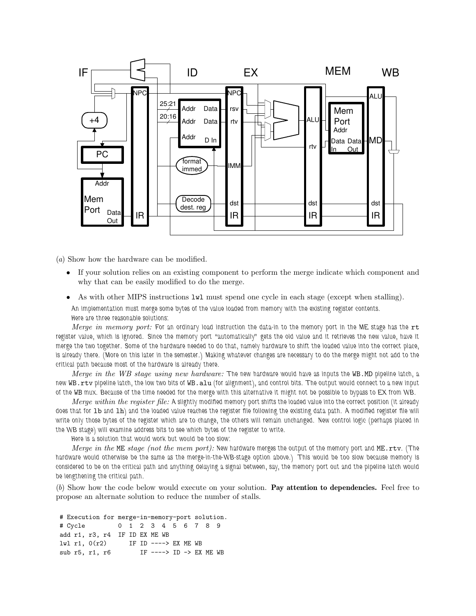

(a) Show how the hardware can be modified.

- If your solution relies on an existing component to perform the merge indicate which component and why that can be easily modified to do the merge.
- As with other MIPS instructions  $1wl$  must spend one cycle in each stage (except when stalling). An implementation must merge some bytes of the value loaded from memory with the existing register contents. Here are three reasonable solutions:

Merge in memory port: For an ordinary load instruction the data-in to the memory port in the ME stage has the rt register value, which is ignored. Since the memory port "automatically" gets the old value and it retrieves the new value, have it merge the two together. Some of the hardware needed to do that, namely hardware to shift the loaded value into the correct place, is already there. (More on this later in the semester.) Making whatever changes are necessary to do the merge might not add to the critical path because most of the hardware is already there.

Merge in the WB stage using new hardware: The new hardware would have as inputs the WB.MD pipeline latch, a new WB.rtv pipeline latch, the low two bits of WB.alu (for alignment), and control bits. The output would connect to a new input of the WB mux. Because of the time needed for the merge with this alternative it might not be possible to bypass to EX from WB.

Merge within the register file: A slightly modified memory port shifts the loaded value into the correct position (it already does that for lb and lh) and the loaded value reaches the register file following the existing data path. A modified register file will write only those bytes of the register which are to change, the others will remain unchanged. New control logic (perhaps placed in the WB stage) will examine address bits to see which bytes of the register to write.

Here is a solution that would work but would be too slow:

Merge in the ME stage (not the mem port): New hardware merges the output of the memory port and ME.rtv. (The hardware would otherwise be the same as the merge-in-the-WB-stage option above.) This would be too slow because memory is considered to be on the critical path and anything delaying a signal between, say, the memory port out and the pipeline latch would be lengthening the critical path.

(b) Show how the code below would execute on your solution. Pay attention to dependencies. Feel free to propose an alternate solution to reduce the number of stalls.

```
# Execution for merge-in-memory-port solution.
# Cycle 0 1 2 3 4 5 6 7 8 9
add r1, r3, r4 IF ID EX ME WB
lwl r1, 0(r2) IF ID ----> EX ME WB
sub r5, r1, r6 IF ----> ID -> EX ME WB
```